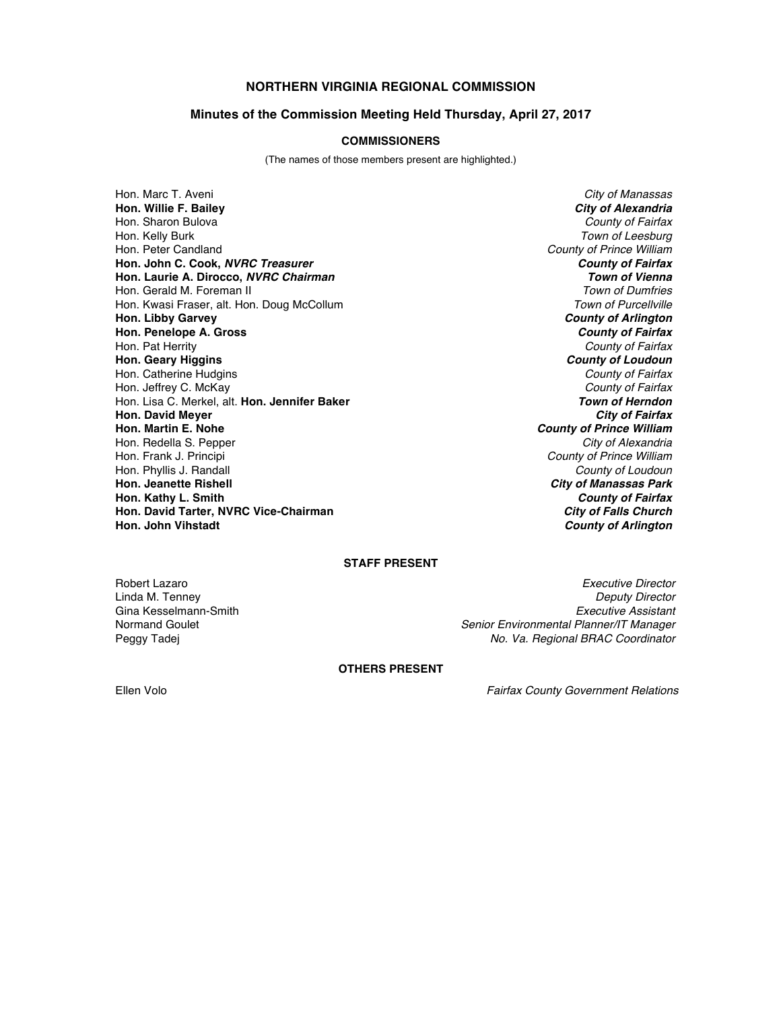# **NORTHERN VIRGINIA REGIONAL COMMISSION**

### **Minutes of the Commission Meeting Held Thursday, April 27, 2017**

#### **COMMISSIONERS**

(The names of those members present are highlighted.)

Hon. Marc T. Aveni *City of Manassas* **Hon. Willie F. Bailey** *City of Alexandria* Hon. Sharon Bulova *County of Fairfax* Hon. Kelly Burk *Town of Leesburg* Hon. Peter Candland *County of Prince William* **Hon. John C. Cook,** *NVRC Treasurer County of Fairfax* **Hon. Laurie A. Dirocco,** *NVRC Chairman Town of Vienna* Hon. Gerald M. Foreman II *Town of Dumfries* Hon. Kwasi Fraser, alt. Hon. Doug McCollum **Hon. Libby Garvey** *County of Arlington* **Hon. Penelope A. Gross** *County of Fairfax* Hon. Pat Herrity *County of Fairfax* **Hon. Geary Higgins** *County of Loudoun* Hon. Catherine Hudgins *County of Fairfax* Hon. Jeffrey C. McKay *County of Fairfax* Hon. Lisa C. Merkel, alt. **Hon. Jennifer Baker** *Town of Herndon* **Hon. David Meyer Hon. Martin E. Nohe** *County of Prince William* Hon. Redella S. Pepper Hon. Frank J. Principi *County of Prince William* Hon. Phyllis J. Randall *County of Loudoun* **Hon. Jeanette Rishell** *City of Manassas Park* **Hon. Kathy L. Smith** *County of Fairfax* **Hon. David Tarter, NVRC Vice-Chairman** *City of Falls Church*

**County of Arlington** 

## **STAFF PRESENT**

Gina Kesselmann-Smith<br>Normand Goulet

Robert Lazaro *Executive Director* Linda M. Tenney *Deputy Director* Senior Environmental Planner/IT Manager Peggy Tadej *No. Va. Regional BRAC Coordinator*

#### **OTHERS PRESENT**

Ellen Volo *Fairfax County Government Relations*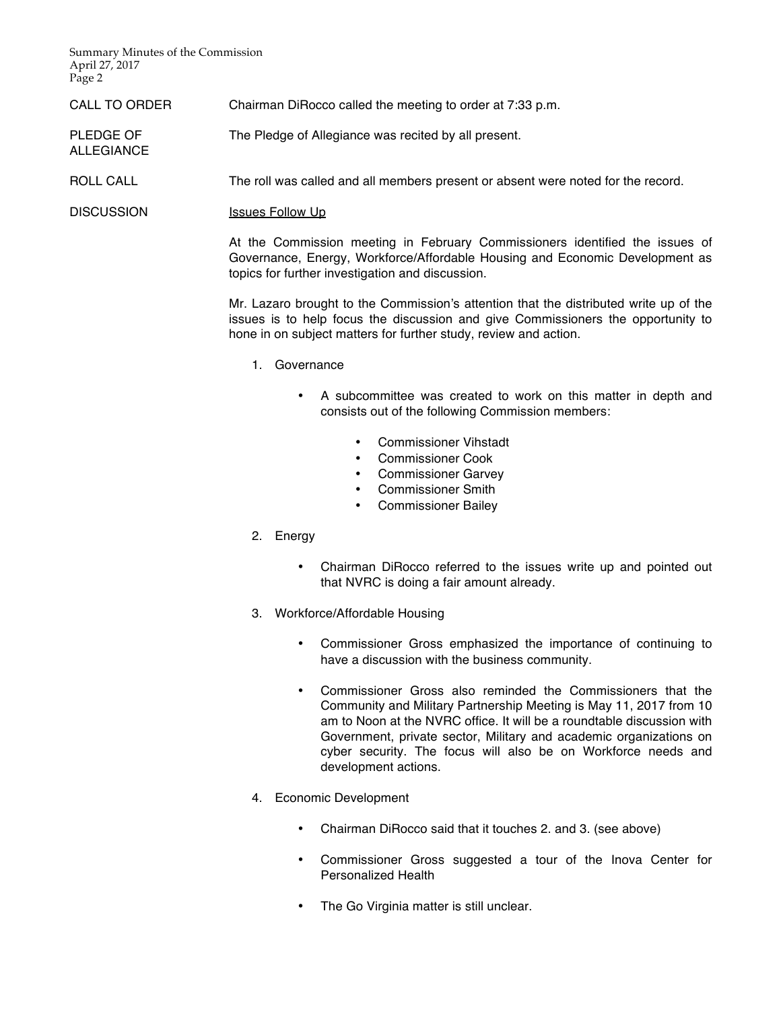Summary Minutes of the Commission April 27, 2017 Page 2

ALLEGIANCE

- CALL TO ORDER Chairman DiRocco called the meeting to order at 7:33 p.m.
- PLEDGE OF The Pledge of Allegiance was recited by all present.
- ROLL CALL The roll was called and all members present or absent were noted for the record.

DISCUSSION Issues Follow Up

At the Commission meeting in February Commissioners identified the issues of Governance, Energy, Workforce/Affordable Housing and Economic Development as topics for further investigation and discussion.

Mr. Lazaro brought to the Commission's attention that the distributed write up of the issues is to help focus the discussion and give Commissioners the opportunity to hone in on subject matters for further study, review and action.

- 1. Governance
	- A subcommittee was created to work on this matter in depth and consists out of the following Commission members:
		- Commissioner Vihstadt
		- Commissioner Cook<br>• Commissioner Garve
		- Commissioner Garvey
		- Commissioner Smith
		- Commissioner Bailey
- 2. Energy
	- Chairman DiRocco referred to the issues write up and pointed out that NVRC is doing a fair amount already.
- 3. Workforce/Affordable Housing
	- Commissioner Gross emphasized the importance of continuing to have a discussion with the business community.
	- Commissioner Gross also reminded the Commissioners that the Community and Military Partnership Meeting is May 11, 2017 from 10 am to Noon at the NVRC office. It will be a roundtable discussion with Government, private sector, Military and academic organizations on cyber security. The focus will also be on Workforce needs and development actions.
- 4. Economic Development
	- Chairman DiRocco said that it touches 2. and 3. (see above)
	- Commissioner Gross suggested a tour of the Inova Center for Personalized Health
	- The Go Virginia matter is still unclear.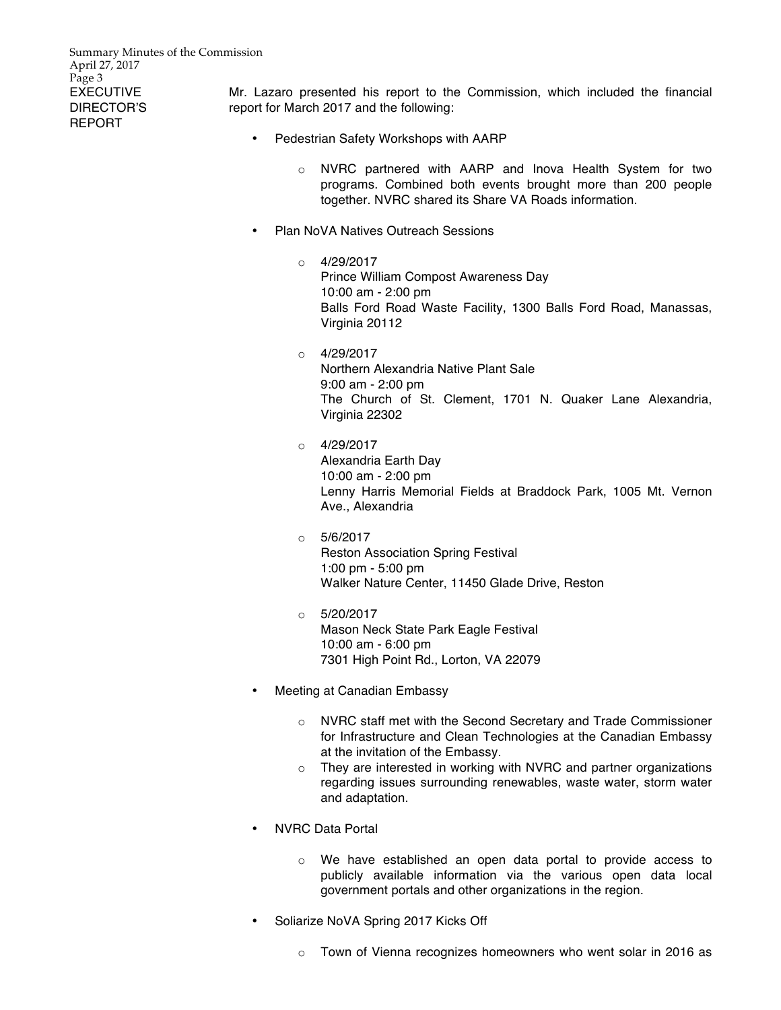Summary Minutes of the Commission April 27, 2017 Page 3 EXECUTIVE DIRECTOR'S REPORT

Mr. Lazaro presented his report to the Commission, which included the financial report for March 2017 and the following:

- Pedestrian Safety Workshops with AARP
	- o NVRC partnered with AARP and Inova Health System for two programs. Combined both events brought more than 200 people together. NVRC shared its Share VA Roads information.
- Plan NoVA Natives Outreach Sessions
	- $O = 4/29/2017$ Prince William Compost Awareness Day 10:00 am - 2:00 pm Balls Ford Road Waste Facility, 1300 Balls Ford Road, Manassas, Virginia 20112
	- $O = 4/29/2017$ Northern Alexandria Native Plant Sale 9:00 am - 2:00 pm The Church of St. Clement, 1701 N. Quaker Lane Alexandria, Virginia 22302
	- $O = 4/29/2017$ Alexandria Earth Day 10:00 am - 2:00 pm Lenny Harris Memorial Fields at Braddock Park, 1005 Mt. Vernon Ave., Alexandria
	- $O = 5/6/2017$ Reston Association Spring Festival 1:00 pm - 5:00 pm Walker Nature Center, 11450 Glade Drive, Reston
	- o 5/20/2017 Mason Neck State Park Eagle Festival 10:00 am - 6:00 pm 7301 High Point Rd., Lorton, VA 22079
- Meeting at Canadian Embassy
	- o NVRC staff met with the Second Secretary and Trade Commissioner for Infrastructure and Clean Technologies at the Canadian Embassy at the invitation of the Embassy.
	- o They are interested in working with NVRC and partner organizations regarding issues surrounding renewables, waste water, storm water and adaptation.
- NVRC Data Portal
	- o We have established an open data portal to provide access to publicly available information via the various open data local government portals and other organizations in the region.
- Soliarize NoVA Spring 2017 Kicks Off
	- $\circ$  Town of Vienna recognizes homeowners who went solar in 2016 as